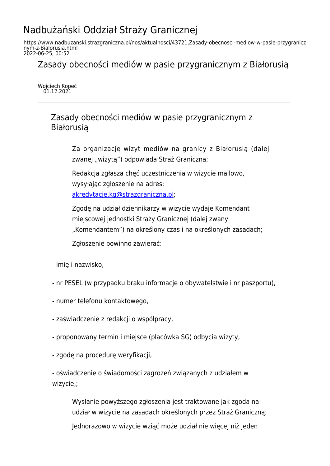## Nadbużański Oddział Straży Granicznej

https://www.nadbuzanski.strazgraniczna.pl/nos/aktualnosci/43721,Zasady-obecnosci-mediow-w-pasie-przygranicz nym-z-Bialorusia.html 2022-06-25, 00:52

Zasady obecności mediów w pasie przygranicznym z Białorusią

Wojciech Kopeć 01.12.2021

> Zasady obecności mediów w pasie przygranicznym z Białorusią

> > Za organizację wizyt mediów na granicy z Białorusią (dalej zwanej "wizytą") odpowiada Straż Graniczna;

Redakcja zgłasza chęć uczestniczenia w wizycie mailowo, wysyłając zgłoszenie na adres: [akredytacje.kg@strazgraniczna.pl](mailto:akredytacje.kg@strazgraniczna.pl);

Zgodę na udział dziennikarzy w wizycie wydaje Komendant miejscowej jednostki Straży Granicznej (dalej zwany "Komendantem") na określony czas i na określonych zasadach;

Zgłoszenie powinno zawierać:

- imię i nazwisko,
- nr PESEL (w przypadku braku informacje o obywatelstwie i nr paszportu),
- numer telefonu kontaktowego,
- zaświadczenie z redakcji o współpracy,
- proponowany termin i miejsce (placówka SG) odbycia wizyty,
- zgodę na procedurę weryfikacji,

- oświadczenie o świadomości zagrożeń związanych z udziałem w wizycie,;

Wysłanie powyższego zgłoszenia jest traktowane jak zgoda na udział w wizycie na zasadach określonych przez Straż Graniczną; Jednorazowo w wizycie wziąć może udział nie więcej niż jeden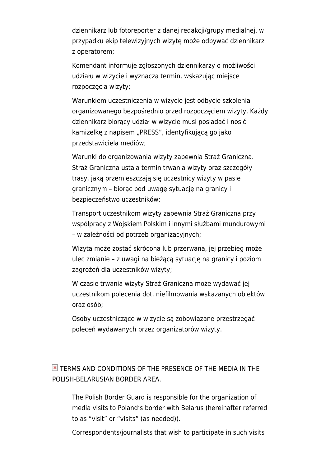dziennikarz lub fotoreporter z danej redakcji/grupy medialnej, w przypadku ekip telewizyjnych wizytę może odbywać dziennikarz z operatorem;

Komendant informuje zgłoszonych dziennikarzy o możliwości udziału w wizycie i wyznacza termin, wskazując miejsce rozpoczęcia wizyty;

Warunkiem uczestniczenia w wizycie jest odbycie szkolenia organizowanego bezpośrednio przed rozpoczęciem wizyty. Każdy dziennikarz biorący udział w wizycie musi posiadać i nosić kamizelkę z napisem "PRESS", identyfikującą go jako przedstawiciela mediów;

Warunki do organizowania wizyty zapewnia Straż Graniczna. Straż Graniczna ustala termin trwania wizyty oraz szczegóły trasy, jaką przemieszczają się uczestnicy wizyty w pasie granicznym – biorąc pod uwagę sytuację na granicy i bezpieczeństwo uczestników;

Transport uczestnikom wizyty zapewnia Straż Graniczna przy współpracy z Wojskiem Polskim i innymi służbami mundurowymi – w zależności od potrzeb organizacyjnych;

Wizyta może zostać skrócona lub przerwana, jej przebieg może ulec zmianie – z uwagi na bieżącą sytuację na granicy i poziom zagrożeń dla uczestników wizyty;

W czasie trwania wizyty Straż Graniczna może wydawać jej uczestnikom polecenia dot. niefilmowania wskazanych obiektów oraz osób;

Osoby uczestniczące w wizycie są zobowiązane przestrzegać poleceń wydawanych przez organizatorów wizyty.

**E** TERMS AND CONDITIONS OF THE PRESENCE OF THE MEDIA IN THE POLISH-BELARUSIAN BORDER AREA.

The Polish Border Guard is responsible for the organization of media visits to Poland's border with Belarus (hereinafter referred to as "visit" or "visits" (as needed)).

Correspondents/journalists that wish to participate in such visits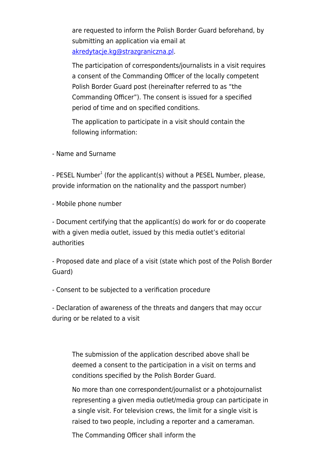are requested to inform the Polish Border Guard beforehand, by submitting an application via email at [akredytacje.kg@strazgraniczna.pl](mailto:akredytacje.kg@strazgraniczna.pl).

The participation of correspondents/journalists in a visit requires a consent of the Commanding Officer of the locally competent Polish Border Guard post (hereinafter referred to as "the Commanding Officer"). The consent is issued for a specified period of time and on specified conditions.

The application to participate in a visit should contain the following information:

- Name and Surname

- PESEL Number<sup>1</sup> (for the applicant(s) without a PESEL Number, please, provide information on the nationality and the passport number)

- Mobile phone number

- Document certifying that the applicant(s) do work for or do cooperate with a given media outlet, issued by this media outlet's editorial authorities

- Proposed date and place of a visit (state which post of the Polish Border Guard)

- Consent to be subjected to a verification procedure

- Declaration of awareness of the threats and dangers that may occur during or be related to a visit

The submission of the application described above shall be deemed a consent to the participation in a visit on terms and conditions specified by the Polish Border Guard.

No more than one correspondent/journalist or a photojournalist representing a given media outlet/media group can participate in a single visit. For television crews, the limit for a single visit is raised to two people, including a reporter and a cameraman.

The Commanding Officer shall inform the